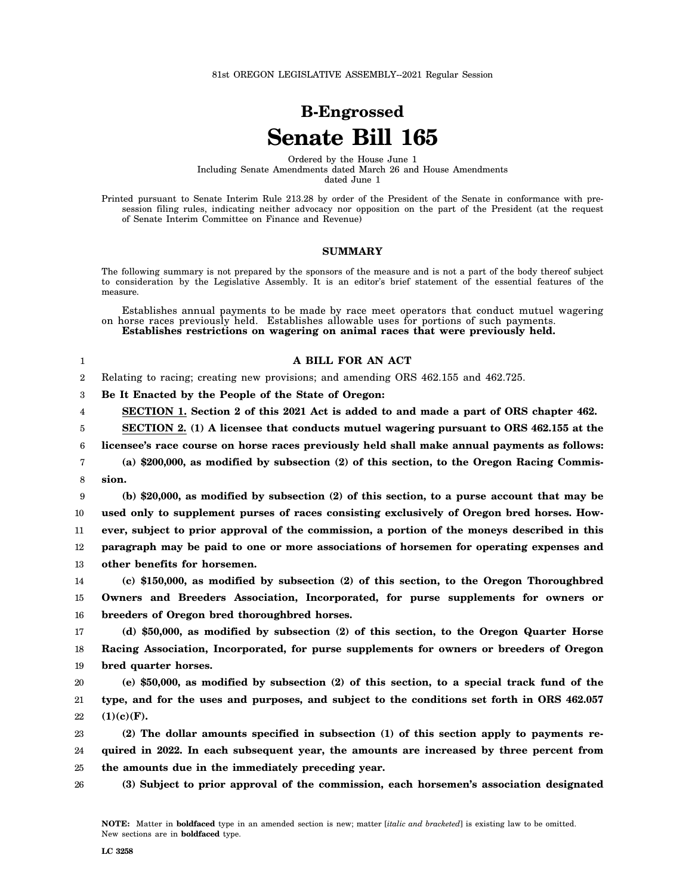81st OREGON LEGISLATIVE ASSEMBLY--2021 Regular Session

## **B-Engrossed Senate Bill 165**

Ordered by the House June 1 Including Senate Amendments dated March 26 and House Amendments dated June 1

Printed pursuant to Senate Interim Rule 213.28 by order of the President of the Senate in conformance with presession filing rules, indicating neither advocacy nor opposition on the part of the President (at the request of Senate Interim Committee on Finance and Revenue)

## **SUMMARY**

The following summary is not prepared by the sponsors of the measure and is not a part of the body thereof subject to consideration by the Legislative Assembly. It is an editor's brief statement of the essential features of the measure.

Establishes annual payments to be made by race meet operators that conduct mutuel wagering on horse races previously held. Establishes allowable uses for portions of such payments. **Establishes restrictions on wagering on animal races that were previously held.**

| A BILL FOR AN ACT                                                                    |  |  |  |  |  |  |  |
|--------------------------------------------------------------------------------------|--|--|--|--|--|--|--|
| 2 Relating to racing; creating new provisions; and amending ORS 462.155 and 462.725. |  |  |  |  |  |  |  |

3 **Be It Enacted by the People of the State of Oregon:**

4 **SECTION 1. Section 2 of this 2021 Act is added to and made a part of ORS chapter 462.**

5 **SECTION 2. (1) A licensee that conducts mutuel wagering pursuant to ORS 462.155 at the**

6 7 8 **licensee's race course on horse races previously held shall make annual payments as follows: (a) \$200,000, as modified by subsection (2) of this section, to the Oregon Racing Commission.**

9 10 11 12 13 **(b) \$20,000, as modified by subsection (2) of this section, to a purse account that may be used only to supplement purses of races consisting exclusively of Oregon bred horses. However, subject to prior approval of the commission, a portion of the moneys described in this paragraph may be paid to one or more associations of horsemen for operating expenses and other benefits for horsemen.**

14 15 16 **(c) \$150,000, as modified by subsection (2) of this section, to the Oregon Thoroughbred Owners and Breeders Association, Incorporated, for purse supplements for owners or breeders of Oregon bred thoroughbred horses.**

17 18 19 **(d) \$50,000, as modified by subsection (2) of this section, to the Oregon Quarter Horse Racing Association, Incorporated, for purse supplements for owners or breeders of Oregon bred quarter horses.**

20 21 22 **(e) \$50,000, as modified by subsection (2) of this section, to a special track fund of the type, and for the uses and purposes, and subject to the conditions set forth in ORS 462.057 (1)(c)(F).**

23 24 25 **(2) The dollar amounts specified in subsection (1) of this section apply to payments required in 2022. In each subsequent year, the amounts are increased by three percent from the amounts due in the immediately preceding year.**

26 **(3) Subject to prior approval of the commission, each horsemen's association designated**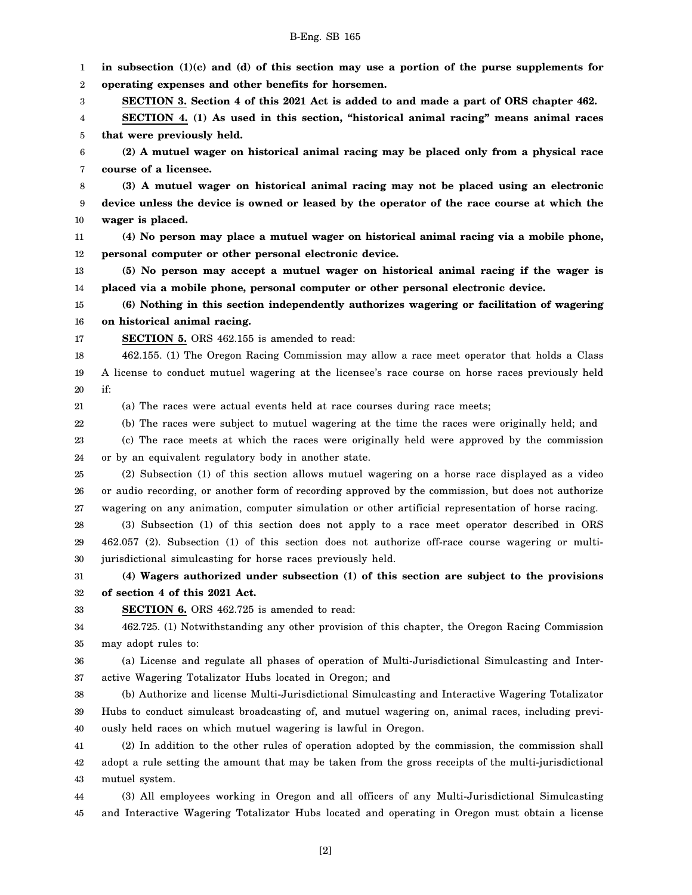1 2 3 4 5 6 7 8 9 10 11 12 13 14 15 16 17 18 19 20 21 22 23 24 25 26 27 28 29 30 31 32 33 34 35 36 37 38 39 40 41 42 **in subsection (1)(c) and (d) of this section may use a portion of the purse supplements for operating expenses and other benefits for horsemen. SECTION 3. Section 4 of this 2021 Act is added to and made a part of ORS chapter 462. SECTION 4. (1) As used in this section, "historical animal racing" means animal races that were previously held. (2) A mutuel wager on historical animal racing may be placed only from a physical race course of a licensee. (3) A mutuel wager on historical animal racing may not be placed using an electronic device unless the device is owned or leased by the operator of the race course at which the wager is placed. (4) No person may place a mutuel wager on historical animal racing via a mobile phone, personal computer or other personal electronic device. (5) No person may accept a mutuel wager on historical animal racing if the wager is placed via a mobile phone, personal computer or other personal electronic device. (6) Nothing in this section independently authorizes wagering or facilitation of wagering on historical animal racing. SECTION 5.** ORS 462.155 is amended to read: 462.155. (1) The Oregon Racing Commission may allow a race meet operator that holds a Class A license to conduct mutuel wagering at the licensee's race course on horse races previously held if: (a) The races were actual events held at race courses during race meets; (b) The races were subject to mutuel wagering at the time the races were originally held; and (c) The race meets at which the races were originally held were approved by the commission or by an equivalent regulatory body in another state. (2) Subsection (1) of this section allows mutuel wagering on a horse race displayed as a video or audio recording, or another form of recording approved by the commission, but does not authorize wagering on any animation, computer simulation or other artificial representation of horse racing. (3) Subsection (1) of this section does not apply to a race meet operator described in ORS 462.057 (2). Subsection (1) of this section does not authorize off-race course wagering or multijurisdictional simulcasting for horse races previously held. **(4) Wagers authorized under subsection (1) of this section are subject to the provisions of section 4 of this 2021 Act. SECTION 6.** ORS 462.725 is amended to read: 462.725. (1) Notwithstanding any other provision of this chapter, the Oregon Racing Commission may adopt rules to: (a) License and regulate all phases of operation of Multi-Jurisdictional Simulcasting and Interactive Wagering Totalizator Hubs located in Oregon; and (b) Authorize and license Multi-Jurisdictional Simulcasting and Interactive Wagering Totalizator Hubs to conduct simulcast broadcasting of, and mutuel wagering on, animal races, including previously held races on which mutuel wagering is lawful in Oregon. (2) In addition to the other rules of operation adopted by the commission, the commission shall adopt a rule setting the amount that may be taken from the gross receipts of the multi-jurisdictional

B-Eng. SB 165

44 45 (3) All employees working in Oregon and all officers of any Multi-Jurisdictional Simulcasting and Interactive Wagering Totalizator Hubs located and operating in Oregon must obtain a license

43

mutuel system.